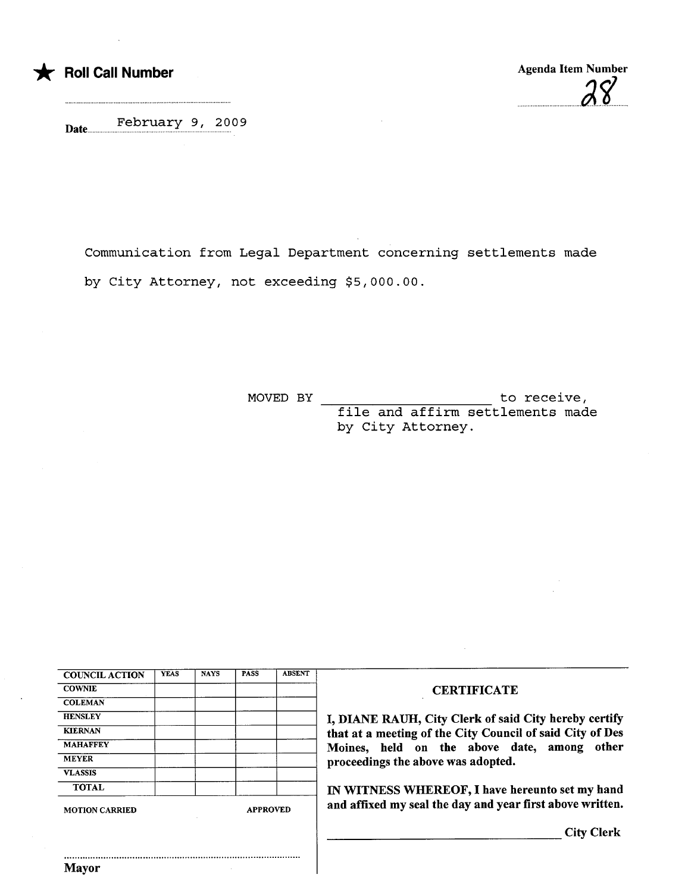

Mayor

uu.uuu.uuuuu...u...f)'1 uu

February 9 i 2009 Date..uuu.uu...u...uu...u.u.uu.u.u.....uuu.uuuuuu.u.uuuu

Communication from Legal Department concerning settlements made by City Attorney, not exceeding \$5,000.00.

> to receive, file and affirm settlements made by City Attorney. MOVED BY

| <b>COUNCIL ACTION</b>                    | <b>YEAS</b> | <b>NAYS</b> | <b>PASS</b> | <b>ABSENT</b> |                                                           |  |
|------------------------------------------|-------------|-------------|-------------|---------------|-----------------------------------------------------------|--|
| <b>COWNIE</b>                            |             |             |             |               | <b>CERTIFICATE</b>                                        |  |
| <b>COLEMAN</b>                           |             |             |             |               |                                                           |  |
| <b>HENSLEY</b>                           |             |             |             |               | I, DIANE RAUH, City Clerk of said City hereby certify     |  |
| <b>KIERNAN</b>                           |             |             |             |               | that at a meeting of the City Council of said City of Des |  |
| <b>MAHAFFEY</b>                          |             |             |             |               | Moines, held on the above date, among other               |  |
| <b>MEYER</b>                             |             |             |             |               | proceedings the above was adopted.                        |  |
| <b>VLASSIS</b>                           |             |             |             |               |                                                           |  |
| <b>TOTAL</b>                             |             |             |             |               | IN WITNESS WHEREOF, I have hereunto set my hand           |  |
| <b>APPROVED</b><br><b>MOTION CARRIED</b> |             |             |             |               | and affixed my seal the day and year first above written. |  |
|                                          |             |             |             |               | <b>City Clerk</b>                                         |  |
|                                          |             |             |             |               |                                                           |  |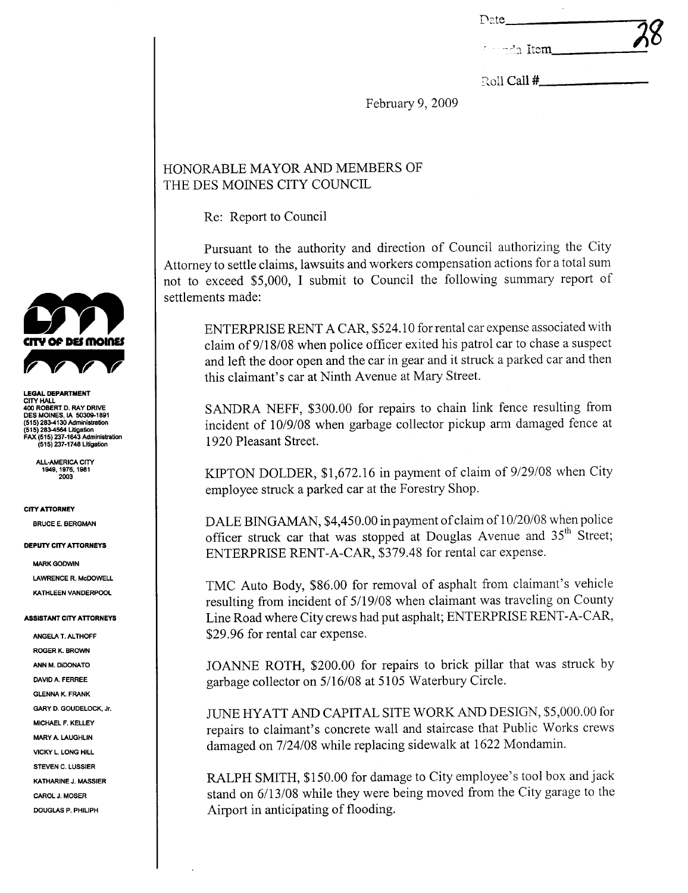| Date                 | 78 |
|----------------------|----|
| <u>de meda Item,</u> |    |

Roll Call #

February 9, 2009

## HONORABLE MAYOR AND MEMBERS OF THE DES MOINES CITY COUNCIL

Re: Report to Council

Pursuant to the authority and direction of Council authorizing the City Attorney to settle claims, lawsuits and workers compensation actions for a total sum not to exceed \$5,000, I submit to Council the following summary report of settlements made:

ENTERPRISE RENT A CAR, \$524.10 for rental car expense associated with claim of 9/18/08 when police officer exited his patrol car to chase a suspect and left the door open and the car in gear and it struck a parked car and then this claimant's car at Ninth Avenue at Mary Street.

SANDRA NEFF, \$300.00 for repairs to chain link fence resulting from incident of 10/9/08 when garbage collector pickup arm damaged fence at 1920 Pleasant Street.

KIPTON DOLDER, \$1,672.16 in payment of claim of 9/29/08 when City employee struck a parked car at the Forestry Shop.

DALE BINGAMAN, \$4,450.00 in payment of claim of 10/20/08 when police officer struck car that was stopped at Douglas Avenue and 35<sup>th</sup> Street; ENTERPRISE RENT-A-CAR, \$379.48 for rental car expense.

TMC Auto Body, \$86.00 for removal of asphalt from claimant's vehicle resulting from incident of 5/19/08 when claimant was traveling on County Line Road where City crews had put asphalt; ENTERPRISE RENT-A-CAR, \$29.96 for rental car expense.

JOANNE ROTH, \$200.00 for repairs to brick pillar that was struck by garbage collector on 5/16/08 at 5105 Waterbury Circle.

JUNE HYATT AND CAPITAL SITE WORK AND DESIGN, \$5,000.00 for repairs to claimant's concrete wall and staircase that Public Works crews damaged on 7/24/08 while replacing sidewalk at 1622 Mondamin.

RALPH SMITH, \$150.00 for damage to City employee's tool box and jack stand on 6/13/08 while they were being moved from the City garage to the Airport in anticipating of flooding.



EGAL DEPARTMENT CITY HALL<br>400 ROBERT D. RAY DRIVE<br>DES MOINES, IA 50309-1891 UES MUNIES, IN 30300-1031<br>(515) 283-4130 Administration<br>(515) 283-4130 Administration<br>FAX (515) 237-1643 Administration<br>(515) 237-1748 Litigation

ALL-AMERICA CITY<br>1949, 1976, 1981<br>2003

**CITY ATTORNEY** 

**BRUCE E. BERGMAN** 

**DEPUTY CITY ATTORNEYS** 

**MARK GODWIN LAWRENCE R. McDOWELL** KATHLEEN VANDERPOOL

## **ASSISTANT CITY ATTORNEYS**

ANGELA T. ALTHOFF **ROGER K. BROWN** ANN M. DIDONATO DAVID A. FERREE **GLENNA K. FRANK** GARY D. GOUDELOCK, Jr. MICHAEL F. KELLEY **MARY A. LAUGHLIN VICKY L. LONG HILL STEVEN C. LUSSIER** KATHARINE J MASSIER CAROL J. MOSER **DOUGLAS P. PHILIPH**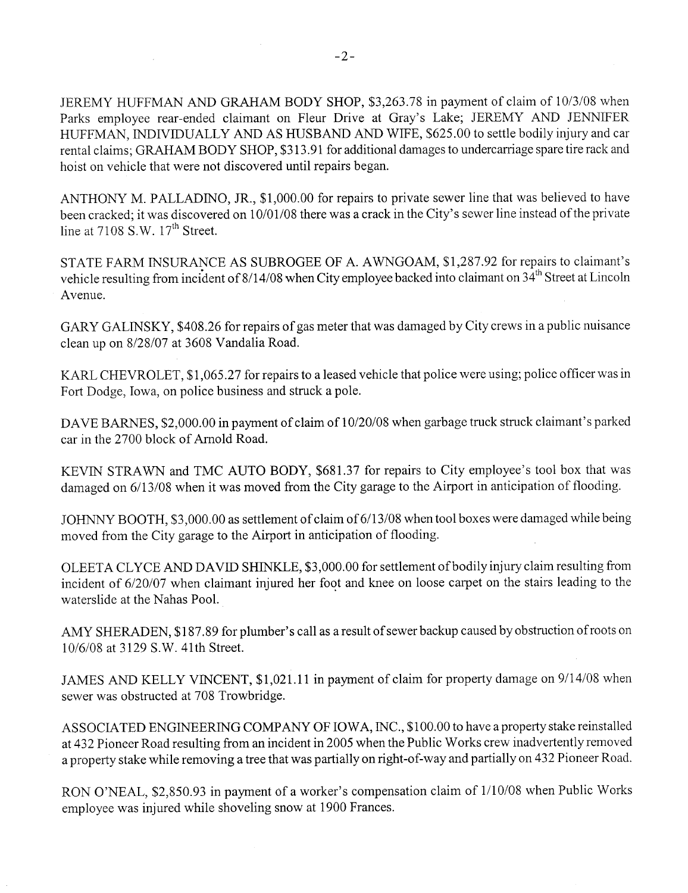JEREMY HUFFMAN AND GRAHAM BODY SHOP, \$3,263.78 in payment of claim of 10/3/08 when Parks employee rear-ended claimant on Fleur Drive at Gray's Lake; JEREMY AND JENNIFER HUFFMAN, INDIVIDUALLY AND AS HUSBAND AND WIFE, \$625.00 to settle bodily injury and car rental claims; GRAHAM BODY SHOP, \$313.91 for additional damages to undercarriage spare tire rack and hoist on vehicle that were not discovered until repairs began.

ANTHONY M. PALLADINO, JR., \$1,000.00 for repairs to private sewer line that was believed to have been cracked; it was discovered on 10/01/08 there was a crack in the City's sewer line instead of the private line at  $7108$  S, W,  $17<sup>th</sup>$  Street.

STATE FARM INSURNCE AS SUBROGEE OF A. A WNGOAM, \$1,287.92 for repairs to claimant's vehicle resulting from incident of 8/14/08 when City employee backed into claimant on 34<sup>th</sup> Street at Lincoln Avenue.

GARY GALINSKY, \$408.26 for repairs of gas meter that was damaged by City crews in a public nuisance clean up on 8/28/07 at 3608 Vandalia Road.

KARL CHEVROLET, \$1,065.27 for repairs to a leased vehicle that police were using; police officer was in Fort Dodge, Iowa, on police business and struck a pole.

DAVE BARNES, \$2,000.00 in payment of claim of 10/20/08 when garbage truck struck claimant's parked car in the 2700 block of Arold Road.

KEVIN STRAWN and TMC AUTO BODY, \$681.37 for repairs to City employee's tool box that was damaged on 6/13/08 when it was moved from the City garage to the Airport in anticipation of flooding.

JOHNNY BOOTH, \$3,000.00 as settlement of claim of 6/13/08 when tool boxes were damaged while being moved from the City garage to the Airport in anticipation of flooding.

OLEETA CLYCE AND DAVID SHINKLE, \$3,000.00 for settlement of bodily injury claim resulting from incident of 6/20/07 when claimant injured her foot and knee on loose carpet on the stairs leading to the waterslide at the Nahas PooL.

AMY SHERADEN, \$187.89 for plumber's call as a result of sewer backup caused by obstruction of roots on 10/6/08 at 3129 S,W. 41th Street.

JAMES AND KELLY VINCENT, \$1,021.11 in payment of claim for property damage on 9/14/08 when sewer was obstructed at 708 Trowbridge.

ASSOCIATED ENGINEERING COMPANY OF IOWA, INC., \$100.00 to have a property stake reinstalled at 432 Pioneer Road resulting from an incident in 2005 when the Public Works crew inadvertently removed a property stake while removing a tree that was partially on right-of-way and partially on 432 Pioneer Road,

RON O'NEAL, \$2,850.93 in payment of a worker's compensation claim of 1/10/08 when Public Works employee was injured while shoveling snow at 1900 Frances.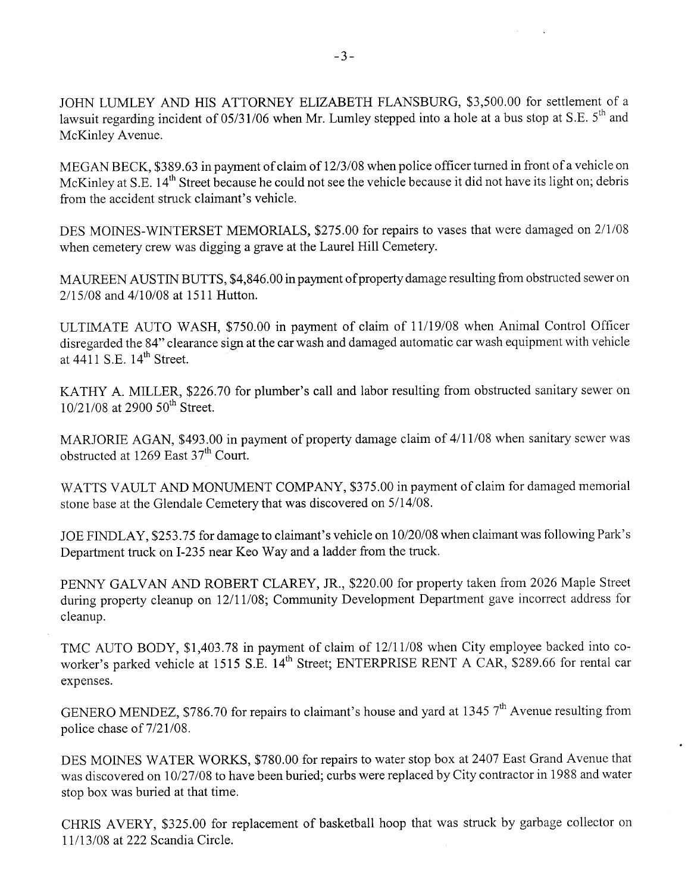JOHN LUMLEY AND HIS ATTORNEY ELIZABETH FLANSBURG, \$3,500.00 for settlement of a lawsuit regarding incident of 05/31/06 when Mr. Lumley stepped into a hole at a bus stop at S.E. 5<sup>th</sup> and McKinley Avenue.

MEGAN BECK, \$389.63 in payment of claim of 12/3/08 when police officer turned in front of a vehicle on McKinley at S.E. 14<sup>th</sup> Street because he could not see the vehicle because it did not have its light on; debris from the accident struck claimant's vehicle.

DES MOINES-WINTERSET MEMORIALS, \$275.00 for repairs to vases that were damaged on 2/1/08 when cemetery crew was digging a grave at the Laurel Hill Cemetery.

MAUREN AUSTIN BUTTS, \$4,846.00 in payment of property damage resulting from obstructed sewer on 2/15/08 and 4/10/08 at 1511 Hutton.

ULTIMATE AUTO WASH, \$750.00 in payment of claim of 11/19/08 when Animal Control Officer disregarded the 84" clearance sign at the car wash and damaged automatic car wash equipment with vehicle at  $4411$  S.E.  $14<sup>th</sup>$  Street.

KATHY A. MILLER, \$226.70 for plumber's call and labor resulting from obstructed sanitary sewer on 10/21/08 at 2900 50<sup>th</sup> Street.

MARJORIE AGAN, \$493.00 in payment of property damage claim of 4/11/08 when sanitary sewer was obstructed at 1269 East  $37<sup>th</sup>$  Court.

WATTS VAULT AND MONUMENT COMPANY, \$375.00 in payment of claim for damaged memorial stone base at the Glendale Cemetery that was discovered on 5/14/08.

JOE FINLAY, \$253.75 for damage to claimant's vehicle on 10/20/08 when claimant was following Park's Department truck on I-235 near Keo Way and a ladder from the truck.

PENNY GALVAN AND ROBERT CLAREY, JR., \$220.00 for property taken from 2026 Maple Street during property cleanup on 12/11/08; Community Development Department gave incorrect address for cleanup.

TMC AUTO BODY, \$1,403.78 in payment of claim of 12/11/08 when City employee backed into coworker's parked vehicle at 1515 S.E. 14<sup>th</sup> Street; ENTERPRISE RENT A CAR, \$289.66 for rental car expenses.

GENERO MENDEZ, \$786.70 for repairs to claimant's house and yard at 1345  $7<sup>th</sup>$  Avenue resulting from police chase of  $7/21/08$ .

DES MOINES WATER WORKS, \$780.00 for repairs to water stop box at 2407 East Grand Avenue that was discovered on 10/27/08 to have been buried; curbs were replaced by City contractor in 1988 and water stop box was buried at that time.

CHRIS AVERY, \$325.00 for replacement of basketball hoop that was struck by garbage collector on 11/13/08 at 222 Scandia Circle.